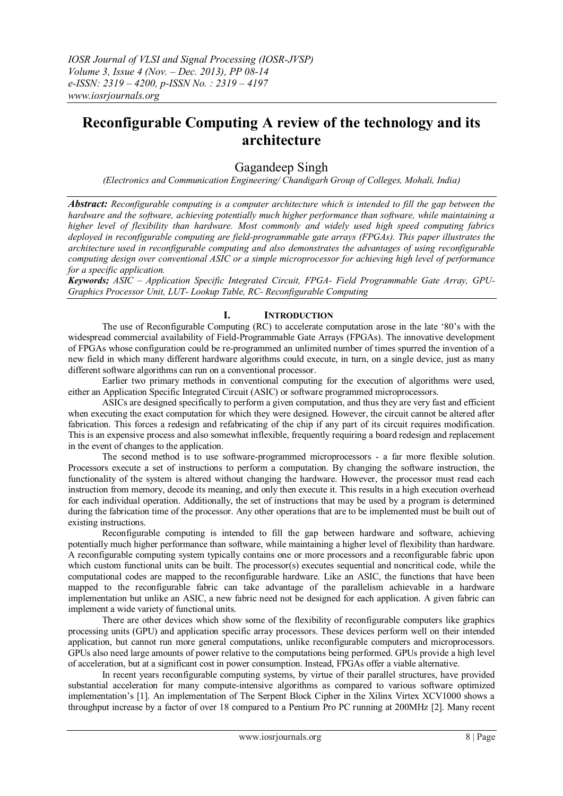# **Reconfigurable Computing A review of the technology and its architecture**

## Gagandeep Singh

*(Electronics and Communication Engineering/ Chandigarh Group of Colleges, Mohali, India)*

*Abstract: Reconfigurable computing is a computer architecture which is intended to fill the gap between the hardware and the software, achieving potentially much higher performance than software, while maintaining a higher level of flexibility than hardware. Most commonly and widely used high speed computing fabrics deployed in reconfigurable computing are field-programmable gate arrays (FPGAs). This paper illustrates the architecture used in reconfigurable computing and also demonstrates the advantages of using reconfigurable computing design over conventional ASIC or a simple microprocessor for achieving high level of performance for a specific application.*

*Keywords; ASIC – Application Specific Integrated Circuit, FPGA- Field Programmable Gate Array, GPU-Graphics Processor Unit, LUT- Lookup Table, RC- Reconfigurable Computing*

## **I. INTRODUCTION**

The use of Reconfigurable Computing (RC) to accelerate computation arose in the late "80"s with the widespread commercial availability of Field-Programmable Gate Arrays (FPGAs). The innovative development of FPGAs whose configuration could be re-programmed an unlimited number of times spurred the invention of a new field in which many different hardware algorithms could execute, in turn, on a single device, just as many different software algorithms can run on a conventional processor.

Earlier two primary methods in conventional computing for the execution of algorithms were used, either an Application Specific Integrated Circuit (ASIC) or software programmed microprocessors.

ASICs are designed specifically to perform a given computation, and thus they are very fast and efficient when executing the exact computation for which they were designed. However, the circuit cannot be altered after fabrication. This forces a redesign and refabricating of the chip if any part of its circuit requires modification. This is an expensive process and also somewhat inflexible, frequently requiring a board redesign and replacement in the event of changes to the application.

The second method is to use software-programmed microprocessors - a far more flexible solution. Processors execute a set of instructions to perform a computation. By changing the software instruction, the functionality of the system is altered without changing the hardware. However, the processor must read each instruction from memory, decode its meaning, and only then execute it. This results in a high execution overhead for each individual operation. Additionally, the set of instructions that may be used by a program is determined during the fabrication time of the processor. Any other operations that are to be implemented must be built out of existing instructions.

Reconfigurable computing is intended to fill the gap between hardware and software, achieving potentially much higher performance than software, while maintaining a higher level of flexibility than hardware. A reconfigurable computing system typically contains one or more processors and a reconfigurable fabric upon which custom functional units can be built. The processor(s) executes sequential and noncritical code, while the computational codes are mapped to the reconfigurable hardware. Like an ASIC, the functions that have been mapped to the reconfigurable fabric can take advantage of the parallelism achievable in a hardware implementation but unlike an ASIC, a new fabric need not be designed for each application. A given fabric can implement a wide variety of functional units.

There are other devices which show some of the flexibility of reconfigurable computers like graphics processing units (GPU) and application specific array processors. These devices perform well on their intended application, but cannot run more general computations, unlike reconfigurable computers and microprocessors. GPUs also need large amounts of power relative to the computations being performed. GPUs provide a high level of acceleration, but at a significant cost in power consumption. Instead, FPGAs offer a viable alternative.

In recent years reconfigurable computing systems, by virtue of their parallel structures, have provided substantial acceleration for many compute-intensive algorithms as compared to various software optimized implementation"s [1]. An implementation of The Serpent Block Cipher in the Xilinx Virtex XCV1000 shows a throughput increase by a factor of over 18 compared to a Pentium Pro PC running at 200MHz [2]. Many recent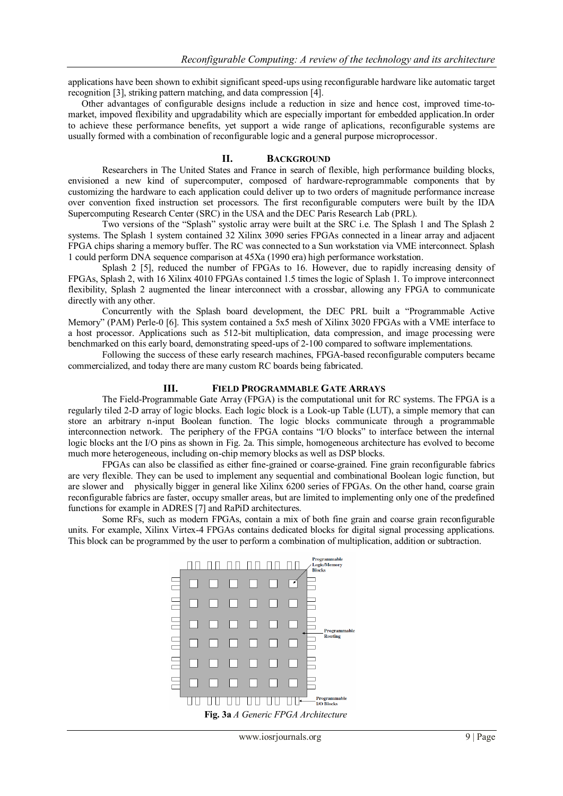applications have been shown to exhibit significant speed-ups using reconfigurable hardware like automatic target recognition [3], striking pattern matching, and data compression [4].

Other advantages of configurable designs include a reduction in size and hence cost, improved time-tomarket, impoved flexibility and upgradability which are especially important for embedded application.In order to achieve these performance benefits, yet support a wide range of aplications, reconfigurable systems are usually formed with a combination of reconfigurable logic and a general purpose microprocessor.

#### **II. BACKGROUND**

Researchers in The United States and France in search of flexible, high performance building blocks, envisioned a new kind of supercomputer, composed of hardware-reprogrammable components that by customizing the hardware to each application could deliver up to two orders of magnitude performance increase over convention fixed instruction set processors. The first reconfigurable computers were built by the IDA Supercomputing Research Center (SRC) in the USA and the DEC Paris Research Lab (PRL).

Two versions of the "Splash" systolic array were built at the SRC i.e. The Splash 1 and The Splash 2 systems. The Splash 1 system contained 32 Xilinx 3090 series FPGAs connected in a linear array and adjacent FPGA chips sharing a memory buffer. The RC was connected to a Sun workstation via VME interconnect. Splash 1 could perform DNA sequence comparison at 45Xa (1990 era) high performance workstation.

Splash 2 [5], reduced the number of FPGAs to 16. However, due to rapidly increasing density of FPGAs, Splash 2, with 16 Xilinx 4010 FPGAs contained 1.5 times the logic of Splash 1. To improve interconnect flexibility, Splash 2 augmented the linear interconnect with a crossbar, allowing any FPGA to communicate directly with any other.

Concurrently with the Splash board development, the DEC PRL built a "Programmable Active Memory" (PAM) Perle-0 [6]. This system contained a 5x5 mesh of Xilinx 3020 FPGAs with a VME interface to a host processor. Applications such as 512-bit multiplication, data compression, and image processing were benchmarked on this early board, demonstrating speed-ups of 2-100 compared to software implementations.

Following the success of these early research machines, FPGA-based reconfigurable computers became commercialized, and today there are many custom RC boards being fabricated.

#### **III. FIELD PROGRAMMABLE GATE ARRAYS**

The Field-Programmable Gate Array (FPGA) is the computational unit for RC systems. The FPGA is a regularly tiled 2-D array of logic blocks. Each logic block is a Look-up Table (LUT), a simple memory that can store an arbitrary n-input Boolean function. The logic blocks communicate through a programmable interconnection network. The periphery of the FPGA contains "I/O blocks" to interface between the internal logic blocks ant the I/O pins as shown in Fig. 2a. This simple, homogeneous architecture has evolved to become much more heterogeneous, including on-chip memory blocks as well as DSP blocks.

FPGAs can also be classified as either fine-grained or coarse-grained. Fine grain reconfigurable fabrics are very flexible. They can be used to implement any sequential and combinational Boolean logic function, but are slower and physically bigger in general like Xilinx 6200 series of FPGAs. On the other hand, coarse grain reconfigurable fabrics are faster, occupy smaller areas, but are limited to implementing only one of the predefined functions for example in ADRES [7] and RaPiD architectures.

Some RFs, such as modern FPGAs, contain a mix of both fine grain and coarse grain reconfigurable units. For example, Xilinx Virtex-4 FPGAs contains dedicated blocks for digital signal processing applications. This block can be programmed by the user to perform a combination of multiplication, addition or subtraction.

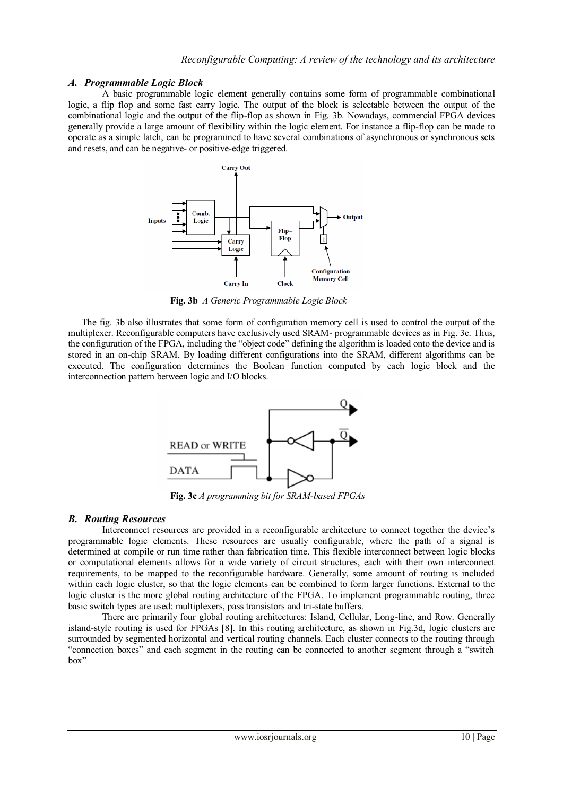## *A. Programmable Logic Block*

A basic programmable logic element generally contains some form of programmable combinational logic, a flip flop and some fast carry logic. The output of the block is selectable between the output of the combinational logic and the output of the flip-flop as shown in Fig. 3b. Nowadays, commercial FPGA devices generally provide a large amount of flexibility within the logic element. For instance a flip-flop can be made to operate as a simple latch, can be programmed to have several combinations of asynchronous or synchronous sets and resets, and can be negative- or positive-edge triggered.



**Fig. 3b** *A Generic Programmable Logic Block*

The fig. 3b also illustrates that some form of configuration memory cell is used to control the output of the multiplexer. Reconfigurable computers have exclusively used SRAM- programmable devices as in Fig. 3c. Thus, the configuration of the FPGA, including the "object code" defining the algorithm is loaded onto the device and is stored in an on-chip SRAM. By loading different configurations into the SRAM, different algorithms can be executed. The configuration determines the Boolean function computed by each logic block and the interconnection pattern between logic and I/O blocks.



**Fig. 3c** *A programming bit for SRAM-based FPGAs*

## *B. Routing Resources*

Interconnect resources are provided in a reconfigurable architecture to connect together the device"s programmable logic elements. These resources are usually configurable, where the path of a signal is determined at compile or run time rather than fabrication time. This flexible interconnect between logic blocks or computational elements allows for a wide variety of circuit structures, each with their own interconnect requirements, to be mapped to the reconfigurable hardware. Generally, some amount of routing is included within each logic cluster, so that the logic elements can be combined to form larger functions. External to the logic cluster is the more global routing architecture of the FPGA. To implement programmable routing, three basic switch types are used: multiplexers, pass transistors and tri-state buffers.

There are primarily four global routing architectures: Island, Cellular, Long-line, and Row. Generally island-style routing is used for FPGAs [8]. In this routing architecture, as shown in Fig.3d, logic clusters are surrounded by segmented horizontal and vertical routing channels. Each cluster connects to the routing through "connection boxes" and each segment in the routing can be connected to another segment through a "switch box"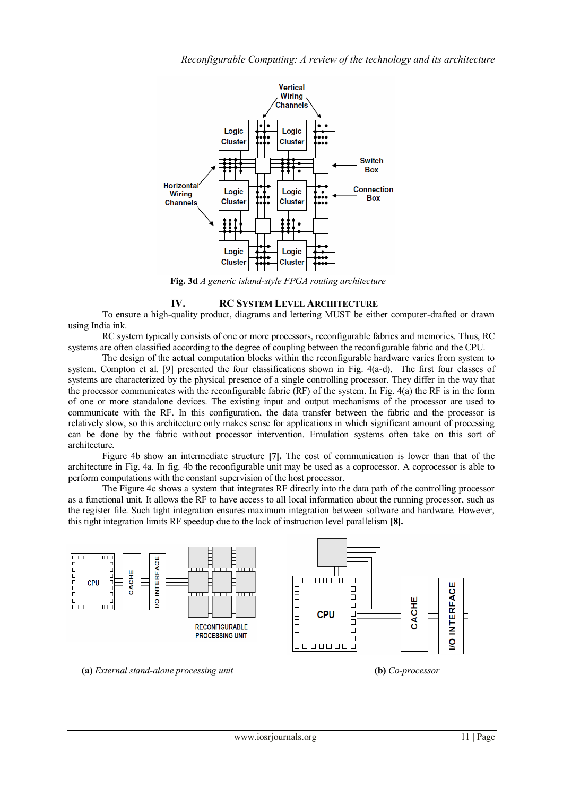

**Fig. 3d** *A generic island-style FPGA routing architecture*

## **IV. RC SYSTEM LEVEL ARCHITECTURE**

To ensure a high-quality product, diagrams and lettering MUST be either computer-drafted or drawn using India ink.

RC system typically consists of one or more processors, reconfigurable fabrics and memories. Thus, RC systems are often classified according to the degree of coupling between the reconfigurable fabric and the CPU.

The design of the actual computation blocks within the reconfigurable hardware varies from system to system. Compton et al. [9] presented the four classifications shown in Fig. 4(a-d). The first four classes of systems are characterized by the physical presence of a single controlling processor. They differ in the way that the processor communicates with the reconfigurable fabric (RF) of the system. In Fig. 4(a) the RF is in the form of one or more standalone devices. The existing input and output mechanisms of the processor are used to communicate with the RF. In this configuration, the data transfer between the fabric and the processor is relatively slow, so this architecture only makes sense for applications in which significant amount of processing can be done by the fabric without processor intervention. Emulation systems often take on this sort of architecture.

Figure 4b show an intermediate structure **[7].** The cost of communication is lower than that of the architecture in Fig. 4a. In fig. 4b the reconfigurable unit may be used as a coprocessor. A coprocessor is able to perform computations with the constant supervision of the host processor.

The Figure 4c shows a system that integrates RF directly into the data path of the controlling processor as a functional unit. It allows the RF to have access to all local information about the running processor, such as the register file. Such tight integration ensures maximum integration between software and hardware. However, this tight integration limits RF speedup due to the lack of instruction level parallelism **[8].**



**(a)** *External stand-alone processing unit* **(b)** *Co-processor*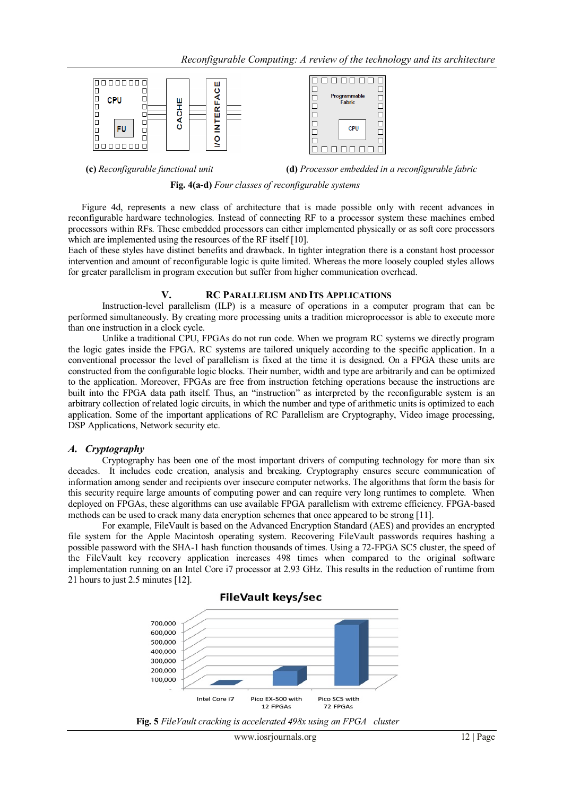

**(c)** *Reconfigurable functional unit* **(d)** *Processor embedded in a reconfigurable fabric*



Figure 4d, represents a new class of architecture that is made possible only with recent advances in reconfigurable hardware technologies. Instead of connecting RF to a processor system these machines embed processors within RFs. These embedded processors can either implemented physically or as soft core processors which are implemented using the resources of the RF itself [10].

Each of these styles have distinct benefits and drawback. In tighter integration there is a constant host processor intervention and amount of reconfigurable logic is quite limited. Whereas the more loosely coupled styles allows for greater parallelism in program execution but suffer from higher communication overhead.

#### **V. RC PARALLELISM AND ITS APPLICATIONS**

Instruction-level parallelism (ILP) is a measure of operations in a computer program that can be performed simultaneously. By creating more processing units a tradition microprocessor is able to execute more than one instruction in a clock cycle.

Unlike a traditional CPU, FPGAs do not run code. When we program RC systems we directly program the logic gates inside the FPGA. RC systems are tailored uniquely according to the specific application. In a conventional processor the level of parallelism is fixed at the time it is designed. On a FPGA these units are constructed from the configurable logic blocks. Their number, width and type are arbitrarily and can be optimized to the application. Moreover, FPGAs are free from instruction fetching operations because the instructions are built into the FPGA data path itself. Thus, an "instruction" as interpreted by the reconfigurable system is an arbitrary collection of related logic circuits, in which the number and type of arithmetic units is optimized to each application. Some of the important applications of RC Parallelism are Cryptography, Video image processing, DSP Applications, Network security etc.

## *A. Cryptography*

Cryptography has been one of the most important drivers of computing technology for more than six decades. It includes code creation, analysis and breaking. Cryptography ensures secure communication of information among sender and recipients over insecure computer networks. The algorithms that form the basis for this security require large amounts of computing power and can require very long runtimes to complete. When deployed on FPGAs, these algorithms can use available FPGA parallelism with extreme efficiency. FPGA-based methods can be used to crack many data encryption schemes that once appeared to be strong [11].

For example, FileVault is based on the Advanced Encryption Standard (AES) and provides an encrypted file system for the Apple Macintosh operating system. Recovering FileVault passwords requires hashing a possible password with the SHA-1 hash function thousands of times. Using a 72-FPGA SC5 cluster, the speed of the FileVault key recovery application increases 498 times when compared to the original software implementation running on an Intel Core i7 processor at 2.93 GHz. This results in the reduction of runtime from 21 hours to just 2.5 minutes [12].



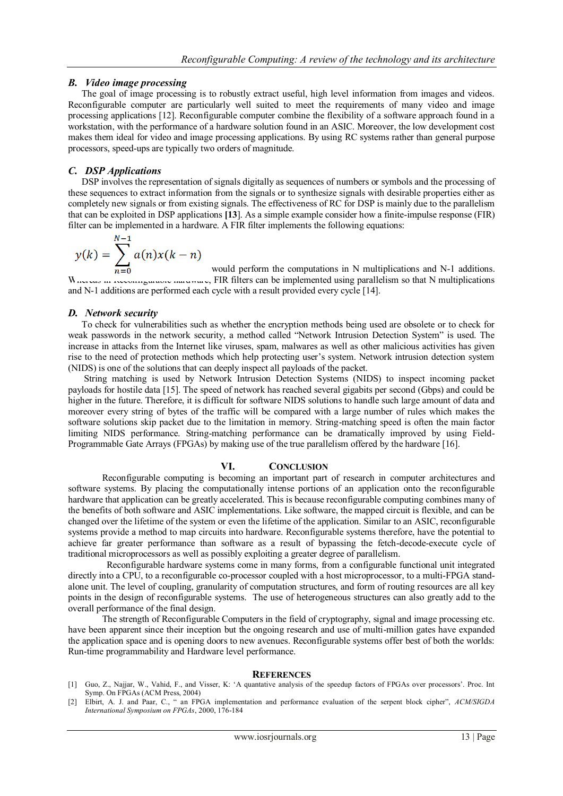## *B. Video image processing*

The goal of image processing is to robustly extract useful, high level information from images and videos. Reconfigurable computer are particularly well suited to meet the requirements of many video and image processing applications [12]. Reconfigurable computer combine the flexibility of a software approach found in a workstation, with the performance of a hardware solution found in an ASIC. Moreover, the low development cost makes them ideal for video and image processing applications. By using RC systems rather than general purpose processors, speed-ups are typically two orders of magnitude.

## *C. DSP Applications*

**Sales** 

DSP involves the representation of signals digitally as sequences of numbers or symbols and the processing of these sequences to extract information from the signals or to synthesize signals with desirable properties either as completely new signals or from existing signals. The effectiveness of RC for DSP is mainly due to the parallelism that can be exploited in DSP applications **[13**]. As a simple example consider how a finite-impulse response (FIR) filter can be implemented in a hardware. A FIR filter implements the following equations:

$$
y(k) = \sum_{n=0}^{N-1} a(n)x(k-n)
$$

would perform the computations in N multiplications and N-1 additions. Whereas in reconfigurable hardware, FIR filters can be implemented using parallelism so that N multiplications and N-1 additions are performed each cycle with a result provided every cycle [14].

### *D. Network security*

To check for vulnerabilities such as whether the encryption methods being used are obsolete or to check for weak passwords in the network security, a method called "Network Intrusion Detection System" is used. The increase in attacks from the Internet like viruses, spam, malwares as well as other malicious activities has given rise to the need of protection methods which help protecting user"s system. Network intrusion detection system (NIDS) is one of the solutions that can deeply inspect all payloads of the packet.

String matching is used by Network Intrusion Detection Systems (NIDS) to inspect incoming packet payloads for hostile data [15]. The speed of network has reached several gigabits per second (Gbps) and could be higher in the future. Therefore, it is difficult for software NIDS solutions to handle such large amount of data and moreover every string of bytes of the traffic will be compared with a large number of rules which makes the software solutions skip packet due to the limitation in memory. String-matching speed is often the main factor limiting NIDS performance. String-matching performance can be dramatically improved by using Field-Programmable Gate Arrays (FPGAs) by making use of the true parallelism offered by the hardware [16].

#### **VI. CONCLUSION**

Reconfigurable computing is becoming an important part of research in computer architectures and software systems. By placing the computationally intense portions of an application onto the reconfigurable hardware that application can be greatly accelerated. This is because reconfigurable computing combines many of the benefits of both software and ASIC implementations. Like software, the mapped circuit is flexible, and can be changed over the lifetime of the system or even the lifetime of the application. Similar to an ASIC, reconfigurable systems provide a method to map circuits into hardware. Reconfigurable systems therefore, have the potential to achieve far greater performance than software as a result of bypassing the fetch-decode-execute cycle of traditional microprocessors as well as possibly exploiting a greater degree of parallelism.

 Reconfigurable hardware systems come in many forms, from a configurable functional unit integrated directly into a CPU, to a reconfigurable co-processor coupled with a host microprocessor, to a multi-FPGA standalone unit. The level of coupling, granularity of computation structures, and form of routing resources are all key points in the design of reconfigurable systems. The use of heterogeneous structures can also greatly add to the overall performance of the final design.

The strength of Reconfigurable Computers in the field of cryptography, signal and image processing etc. have been apparent since their inception but the ongoing research and use of multi-million gates have expanded the application space and is opening doors to new avenues. Reconfigurable systems offer best of both the worlds: Run-time programmability and Hardware level performance.

#### **REFERENCES**

- [1] Guo, Z., Najjar, W., Vahid, F., and Visser, K: "A quantative analysis of the speedup factors of FPGAs over processors". Proc. Int Symp. On FPGAs (ACM Press, 2004)
- [2] Elbirt, A. J. and Paar, C., " an FPGA implementation and performance evaluation of the serpent block cipher", *ACM/SIGDA International Symposium on FPGAs*, 2000, 176-184